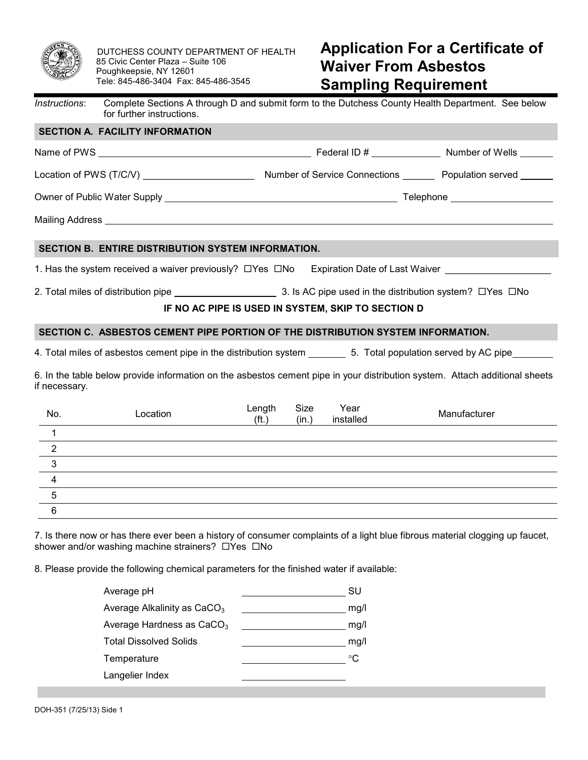

DUTCHESS COUNTY DEPARTMENT OF HEALTH 85 Civic Center Plaza – Suite 106 Poughkeepsie, NY 12601 Tele: 845-486-3404 Fax: 845-486-3545

## **Application For a Certificate of Waiver From Asbestos Sampling Requirement**

| Instructions:  | for further instructions.                                                       |                         |               |                                                    | Complete Sections A through D and submit form to the Dutchess County Health Department. See below                           |
|----------------|---------------------------------------------------------------------------------|-------------------------|---------------|----------------------------------------------------|-----------------------------------------------------------------------------------------------------------------------------|
|                | <b>SECTION A. FACILITY INFORMATION</b>                                          |                         |               |                                                    |                                                                                                                             |
|                |                                                                                 |                         |               |                                                    |                                                                                                                             |
|                |                                                                                 |                         |               |                                                    |                                                                                                                             |
|                |                                                                                 |                         |               |                                                    |                                                                                                                             |
|                |                                                                                 |                         |               |                                                    |                                                                                                                             |
|                | SECTION B. ENTIRE DISTRIBUTION SYSTEM INFORMATION.                              |                         |               |                                                    |                                                                                                                             |
|                |                                                                                 |                         |               |                                                    | 1. Has the system received a waiver previously? □ Yes □ No Expiration Date of Last Waiver                                   |
|                |                                                                                 |                         |               |                                                    |                                                                                                                             |
|                |                                                                                 |                         |               | IF NO AC PIPE IS USED IN SYSTEM, SKIP TO SECTION D |                                                                                                                             |
|                | SECTION C. ASBESTOS CEMENT PIPE PORTION OF THE DISTRIBUTION SYSTEM INFORMATION. |                         |               |                                                    |                                                                                                                             |
|                |                                                                                 |                         |               |                                                    | 4. Total miles of asbestos cement pipe in the distribution system _______________ 5. Total population served by AC pipe     |
| if necessary.  |                                                                                 |                         |               |                                                    | 6. In the table below provide information on the asbestos cement pipe in your distribution system. Attach additional sheets |
| No.            | Location                                                                        | Length<br>$({\sf ft.})$ | Size<br>(in.) | Year<br>installed                                  | Manufacturer                                                                                                                |
| 1              |                                                                                 |                         |               |                                                    |                                                                                                                             |
| $\overline{2}$ |                                                                                 |                         |               |                                                    |                                                                                                                             |
| 3              |                                                                                 |                         |               |                                                    |                                                                                                                             |
| $\overline{4}$ |                                                                                 |                         |               |                                                    |                                                                                                                             |
| 5              |                                                                                 |                         |               |                                                    |                                                                                                                             |
| 6              |                                                                                 |                         |               |                                                    |                                                                                                                             |

8. Please provide the following chemical parameters for the finished water if available:

| Average pH                              | SU   |
|-----------------------------------------|------|
| Average Alkalinity as CaCO <sub>3</sub> | mg/l |
| Average Hardness as CaCO <sub>3</sub>   | mg/l |
| <b>Total Dissolved Solids</b>           | mg/l |
| Temperature                             | °C   |
| Langelier Index                         |      |
|                                         |      |